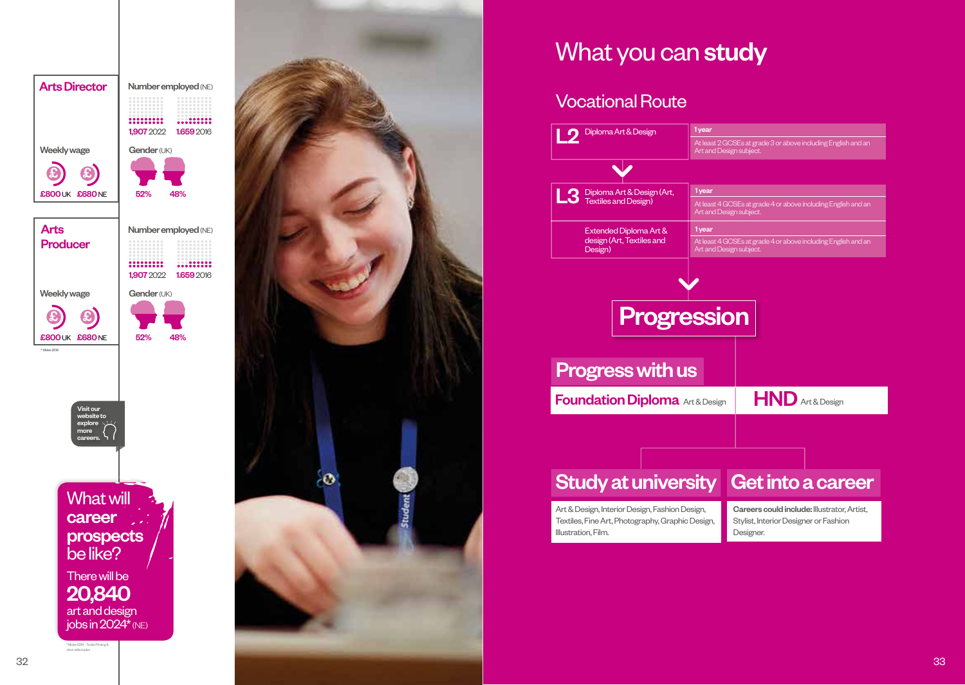



# What you can study

## Vocational Route

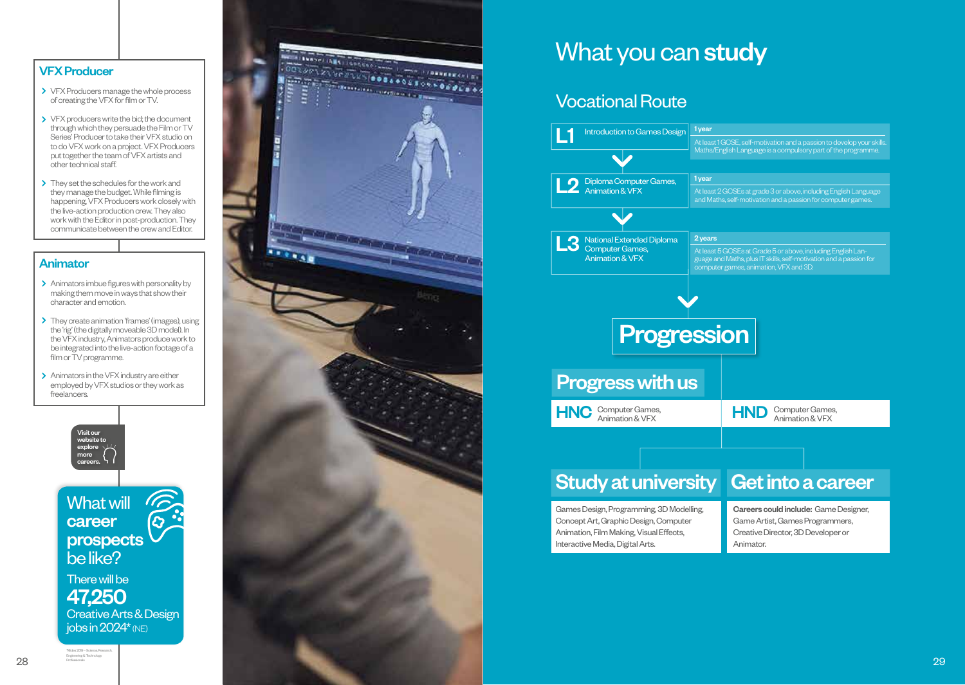### VFX Producer

- > VFX Producers manage the whole process of creating the VFX for film or TV.
- > VFX producers write the bid; the document through which they persuade the Film or TV Series' Producer to take their VFX studio on to do VFX work on a project. VFX Producers put together the team of VFX artists and other technical staff.
- > They set the schedules for the work and they manage the budget. While filming is happening, VFX Producers work closely with the live-action production crew. They also work with the Editor in post-production. They communicate between the crew and Editor.

#### Animator

- > Animators imbue figures with personality by making them move in ways that show their character and emotion.
- > They create animation 'frames' (images), using the 'rig' (the digitally moveable 3D model). In the VFX industry, Animators produce work to be integrated into the live-action footage of a film or TV programme.
- > Animators in the VFX industry are either employed by VFX studios or they work as freelancers.





## What you can study

### Vocational Route